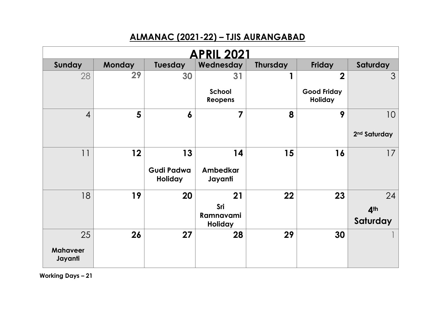## **ALMANAC (2021-22) – TJIS AURANGABAD**

|                            |               |                              | <b>APRIL 2021</b>        |                 |                                      |                          |
|----------------------------|---------------|------------------------------|--------------------------|-----------------|--------------------------------------|--------------------------|
| Sunday                     | <b>Monday</b> | Tuesday                      | Wednesday                | <b>Thursday</b> | Friday                               | Saturday                 |
| 28                         | 29            | 30                           | 31                       |                 | $\mathbf 2$                          | $\mathcal{S}$            |
|                            |               |                              | School<br><b>Reopens</b> |                 | <b>Good Friday</b><br><b>Holiday</b> |                          |
| $\overline{4}$             | 5             | 6                            | $\overline{7}$           | 8               | 9                                    | 10                       |
|                            |               |                              |                          |                 |                                      | 2 <sup>nd</sup> Saturday |
| 11                         | 12            | 13                           | 14                       | 15              | 16                                   | 17                       |
|                            |               | Gudi Padwa<br><b>Holiday</b> | Ambedkar<br>Jayanti      |                 |                                      |                          |
| 18                         | 19            | 20                           | 21                       | 22              | 23                                   | 24                       |
|                            |               |                              | Sri<br>Ramnavami         |                 |                                      | 4 <sup>th</sup>          |
|                            |               |                              | Holiday                  |                 |                                      | Saturday                 |
| 25                         | 26            | 27                           | 28                       | 29              | 30                                   |                          |
| <b>Mahaveer</b><br>Jayanti |               |                              |                          |                 |                                      |                          |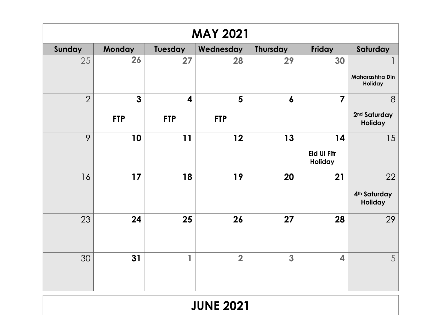|                | <b>MAY 2021</b> |                         |                |                  |                               |                                            |  |  |  |  |  |
|----------------|-----------------|-------------------------|----------------|------------------|-------------------------------|--------------------------------------------|--|--|--|--|--|
| Sunday         | Monday          | Tuesday                 | Wednesday      | <b>Thursday</b>  | Friday                        | Saturday                                   |  |  |  |  |  |
| 25             | 26              | 27                      | 28             | 29               | 30                            |                                            |  |  |  |  |  |
|                |                 |                         |                |                  |                               | Maharashtra Din<br>Holiday                 |  |  |  |  |  |
| $\overline{2}$ | $\mathbf{3}$    | $\overline{\mathbf{4}}$ | 5              | $\boldsymbol{6}$ | $\overline{7}$                | 8                                          |  |  |  |  |  |
|                | <b>FTP</b>      | <b>FTP</b>              | <b>FTP</b>     |                  |                               | 2 <sup>nd</sup> Saturday<br><b>Holiday</b> |  |  |  |  |  |
| 9              | 10              | 11                      | 12             | 13               | 14                            | 15                                         |  |  |  |  |  |
|                |                 |                         |                |                  | <b>Eid UI Fitr</b><br>Holiday |                                            |  |  |  |  |  |
| 16             | 17              | 18                      | 19             | 20               | 21                            | 22                                         |  |  |  |  |  |
|                |                 |                         |                |                  |                               | 4 <sup>th</sup> Saturday<br>Holiday        |  |  |  |  |  |
| 23             | 24              | 25                      | 26             | 27               | 28                            | 29                                         |  |  |  |  |  |
|                |                 |                         |                |                  |                               |                                            |  |  |  |  |  |
| 30             | 31              | 1                       | $\overline{2}$ | 3                | $\overline{\mathbf{4}}$       | 5                                          |  |  |  |  |  |
|                |                 |                         |                |                  |                               |                                            |  |  |  |  |  |

# **JUNE 2021**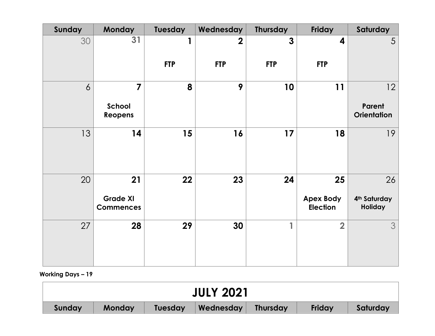| Sunday         | <b>Monday</b>                       | Tuesday    | Wednesday   | <b>Thursday</b> | Friday                              | Saturday                            |
|----------------|-------------------------------------|------------|-------------|-----------------|-------------------------------------|-------------------------------------|
| 30             | 31                                  |            | $\mathbf 2$ | $\mathbf{3}$    | 4                                   | $\overline{5}$                      |
|                |                                     | <b>FTP</b> | <b>FTP</b>  | <b>FTP</b>      | <b>FTP</b>                          |                                     |
| $\overline{6}$ | $\overline{7}$                      | 8          | 9           | 10              | 11                                  | 12                                  |
|                | School<br>Reopens                   |            |             |                 |                                     | Parent<br><b>Orientation</b>        |
| 13             | 14                                  | 15         | 16          | 17              | 18                                  | 19                                  |
| 20             | 21                                  | 22         | 23          | 24              | 25                                  | 26                                  |
|                | <b>Grade XI</b><br><b>Commences</b> |            |             |                 | <b>Apex Body</b><br><b>Election</b> | 4 <sup>th</sup> Saturday<br>Holiday |
| 27             | 28                                  | 29         | 30          | 1               | $\overline{2}$                      | 3                                   |

| <b>JULY 2021</b> |        |                |           |                 |               |          |  |
|------------------|--------|----------------|-----------|-----------------|---------------|----------|--|
| Sunday           | Monday | <b>Tuesday</b> | Wednesday | <b>Thursday</b> | <b>Friday</b> | Saturday |  |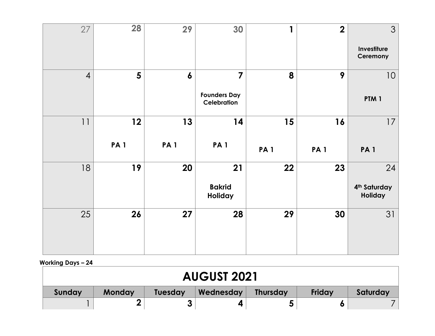| 27             | <b>28</b>  | 29               | 30                                                   | 1          | $\overline{2}$ | $\mathfrak{S}$<br>Investiture<br>Ceremony        |
|----------------|------------|------------------|------------------------------------------------------|------------|----------------|--------------------------------------------------|
| $\overline{4}$ | 5          | $\boldsymbol{6}$ | $\overline{7}$<br><b>Founders Day</b><br>Celebration | 8          | 9              | $10$<br>PTM <sub>1</sub>                         |
| 11             | 12         | 13               | 14                                                   | 15         | 16             | 17                                               |
|                | <b>PA1</b> | <b>PA1</b>       | <b>PA1</b>                                           | <b>PA1</b> | <b>PA1</b>     | <b>PA1</b>                                       |
| 18             | 19         | 20               | 21<br><b>Bakrid</b><br>Holiday                       | 22         | 23             | 24<br>4 <sup>th</sup> Saturday<br><b>Holiday</b> |

| <b>AUGUST 2021</b> |        |                |           |                 |        |          |  |  |
|--------------------|--------|----------------|-----------|-----------------|--------|----------|--|--|
| Sunday             | Monday | <b>Tuesday</b> | Wednesday | <b>Thursday</b> | Friday | Saturday |  |  |
|                    |        |                |           | J               |        |          |  |  |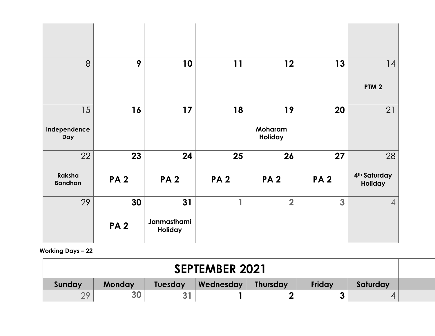| 8                        | 9          | 10                     | 11             | 12                 | 13                      | 14                                  |
|--------------------------|------------|------------------------|----------------|--------------------|-------------------------|-------------------------------------|
|                          |            |                        |                |                    |                         | PTM <sub>2</sub>                    |
| 15                       | 16         | 17                     | 18             | 19                 | 20                      | 21                                  |
| Independence<br>Day      |            |                        |                | Moharam<br>Holiday |                         |                                     |
| 22                       | 23         | 24                     | 25             | 26                 | 27                      | 28                                  |
| Raksha<br><b>Bandhan</b> | <b>PA2</b> | <b>PA2</b>             | <b>PA2</b>     | <b>PA2</b>         | <b>PA2</b>              | 4 <sup>th</sup> Saturday<br>Holiday |
| 29                       | 30         | 31                     | $\blacksquare$ | $\overline{2}$     | $\overline{\mathbf{3}}$ | $\overline{4}$                      |
|                          | <b>PA2</b> | Janmasthami<br>Holiday |                |                    |                         |                                     |

| <b>SEPTEMBER 2021</b> |        |                |           |                 |        |          |  |  |
|-----------------------|--------|----------------|-----------|-----------------|--------|----------|--|--|
| Sunday                | Monday | <b>Tuesday</b> | Wednesday | <b>Thursday</b> | Friday | Saturday |  |  |
| つ0                    | 30     |                |           |                 |        |          |  |  |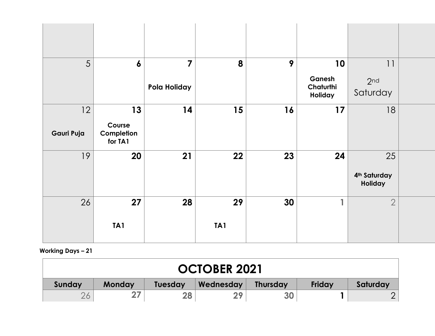| 5          | $\boldsymbol{6}$                | $\overline{\mathbf{z}}$ | 8   | 9  | 10                             | 11                                        |  |
|------------|---------------------------------|-------------------------|-----|----|--------------------------------|-------------------------------------------|--|
|            |                                 | Pola Holiday            |     |    | Ganesh<br>Chaturthi<br>Holiday | 2 <sub>nd</sub><br>Saturday               |  |
| 12         | 13                              | 14                      | 15  | 16 | 17                             | 18                                        |  |
| Gauri Puja | Course<br>Completion<br>for TA1 |                         |     |    |                                |                                           |  |
| 19         | 20                              | 21                      | 22  | 23 | 24                             | 25<br>4 <sup>th</sup> Saturday<br>Holiday |  |
| 26         | 27                              | 28                      | 29  | 30 | 1                              | $\overline{2}$                            |  |
|            | TA <sub>1</sub>                 |                         | TA1 |    |                                |                                           |  |

| <b>OCTOBER 2021</b> |               |                |           |                 |               |          |  |  |
|---------------------|---------------|----------------|-----------|-----------------|---------------|----------|--|--|
| Sunday              | <b>Monday</b> | <b>Tuesday</b> | Wednesday | <b>Thursday</b> | <b>Friday</b> | Saturday |  |  |
|                     |               | 28             |           | <b>30</b>       |               |          |  |  |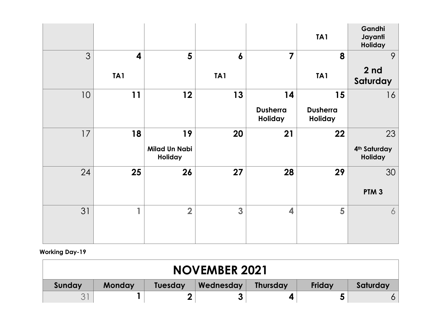|                 |                         |                                 |                  |                            | TA <sub>1</sub>            | Gandhi<br>Jayanti<br>Holiday |
|-----------------|-------------------------|---------------------------------|------------------|----------------------------|----------------------------|------------------------------|
| 3               | $\overline{\mathbf{4}}$ | 5                               | $\boldsymbol{6}$ | $\overline{\mathbf{z}}$    | 8                          | 9                            |
|                 | TA1                     |                                 | TA1              |                            | TA <sub>1</sub>            | 2 <sub>nd</sub><br>Saturday  |
| 10 <sup>°</sup> | 11                      | 12                              | 13               | 14                         | 15                         | 16                           |
|                 |                         |                                 |                  | <b>Dusherra</b><br>Holiday | <b>Dusherra</b><br>Holiday |                              |
| 17              | 18                      | 19                              | 20               | 21                         | 22                         | 23                           |
|                 |                         | <b>Milad Un Nabi</b><br>Holiday |                  |                            |                            | 4th Saturday<br>Holiday      |
| 24              | 25                      | 26                              | 27               | 28                         | 29                         | 30                           |
|                 |                         |                                 |                  |                            |                            | PTM <sub>3</sub>             |
| 31              | 1                       | $\overline{2}$                  | 3                | $\overline{\mathbf{4}}$    | 5                          | $\overline{6}$               |
|                 |                         |                                 |                  |                            |                            |                              |

#### **Working Day-19**

| <b>NOVEMBER 2021</b> |        |                |           |                 |        |          |  |  |
|----------------------|--------|----------------|-----------|-----------------|--------|----------|--|--|
| Sunday               | Monday | <b>Tuesday</b> | Wednesday | <b>Thursday</b> | Friday | Saturday |  |  |
|                      |        |                |           |                 |        |          |  |  |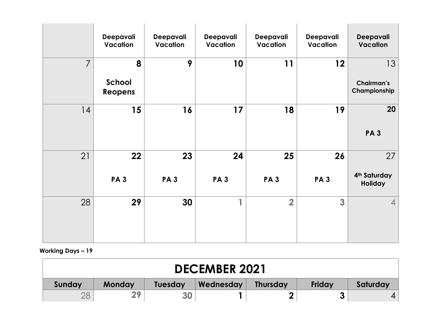|                | Deepavali<br>Vacation  | Deepavali<br>Vacation | Deepavali<br>Vacation | Deepavali<br>Vacation   | Deepavali<br>Vacation | Deepavali<br><b>Vacation</b>                         |
|----------------|------------------------|-----------------------|-----------------------|-------------------------|-----------------------|------------------------------------------------------|
| $\overline{7}$ | 8<br>School<br>Reopens | 9                     | 10                    | 11                      | 12                    | 13 <sup>°</sup><br><b>Chairman's</b><br>Championship |
| 14             | 15                     | 16                    | $17$                  | 18                      | 19                    | 20<br><b>PA3</b>                                     |
| 21             | 22<br><b>PA3</b>       | 23<br><b>PA3</b>      | 24<br><b>PA3</b>      | 25<br><b>PA3</b>        | 26<br><b>PA3</b>      | 27<br>4 <sup>th</sup> Saturday<br><b>Holiday</b>     |
| 28             | 29                     | 30                    | 4                     | $\overline{\mathbf{2}}$ | $\overline{3}$        | $\vert 4 \vert$                                      |

| <b>DECEMBER 2021</b> |               |                |           |                 |        |          |  |
|----------------------|---------------|----------------|-----------|-----------------|--------|----------|--|
| Sunday               | <b>Monday</b> | <b>Tuesday</b> | Wednesday | <b>Thursday</b> | Friday | Saturday |  |
|                      | 20            | 30             |           | Ω               |        |          |  |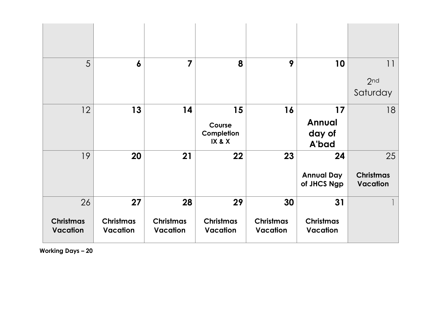| 5                                         | $\boldsymbol{6}$                          | $\overline{7}$                     | 8                                         | 9                                         | 10                                     | 1 <br>2 <sub>nd</sub><br>Saturday         |
|-------------------------------------------|-------------------------------------------|------------------------------------|-------------------------------------------|-------------------------------------------|----------------------------------------|-------------------------------------------|
| 12                                        | 13                                        | 14                                 | 15<br>Course<br>Completion<br>IX & X      | 16                                        | 17<br><b>Annual</b><br>day of<br>A'bad | 18                                        |
| 19                                        | 20                                        | 21                                 | 22                                        | 23                                        | 24<br><b>Annual Day</b><br>of JHCS Ngp | 25<br><b>Christmas</b><br><b>Vacation</b> |
| 26<br><b>Christmas</b><br><b>Vacation</b> | 27<br><b>Christmas</b><br><b>Vacation</b> | 28<br><b>Christmas</b><br>Vacation | 29<br><b>Christmas</b><br><b>Vacation</b> | 30<br><b>Christmas</b><br><b>Vacation</b> | 31<br><b>Christmas</b><br>Vacation     |                                           |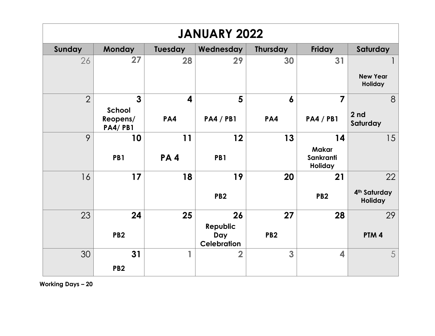| <b>JANUARY 2022</b> |                            |                         |                                       |                 |                                             |                                     |  |  |
|---------------------|----------------------------|-------------------------|---------------------------------------|-----------------|---------------------------------------------|-------------------------------------|--|--|
| Sunday              | <b>Monday</b>              | <b>Tuesday</b>          | Wednesday                             | <b>Thursday</b> | <b>Friday</b>                               | Saturday                            |  |  |
| 26                  | 27                         | 28                      | 29                                    | 30              | 31                                          | <b>New Year</b>                     |  |  |
|                     |                            |                         |                                       |                 |                                             | Holiday                             |  |  |
| $\overline{2}$      | $\overline{3}$<br>School   | $\overline{\mathbf{4}}$ | 5                                     | 6               | $\overline{7}$                              | 8                                   |  |  |
|                     | Reopens/<br><b>PA4/PB1</b> | PA4                     | <b>PA4 / PB1</b>                      | PA4             | <b>PA4/PB1</b>                              | 2 <sub>nd</sub><br>Saturday         |  |  |
| 9                   | 10                         | 11                      | 12                                    | 13              | 14                                          | 15                                  |  |  |
|                     | PB1                        | PA4                     | PB1                                   |                 | <b>Makar</b><br>Sankranti<br><b>Holiday</b> |                                     |  |  |
| 16                  | 17                         | 18                      | 19                                    | 20              | 21                                          | 22                                  |  |  |
|                     |                            |                         | PB <sub>2</sub>                       |                 | PB <sub>2</sub>                             | 4 <sup>th</sup> Saturday<br>Holiday |  |  |
| 23                  | 24                         | 25                      | 26                                    | 27              | 28                                          | 29                                  |  |  |
|                     | PB <sub>2</sub>            |                         | Republic<br>Day<br><b>Celebration</b> | PB <sub>2</sub> |                                             | PTM <sub>4</sub>                    |  |  |
| 30                  | 31                         |                         | $\overline{2}$                        | 3               | 4                                           | 5                                   |  |  |
|                     | PB <sub>2</sub>            |                         |                                       |                 |                                             |                                     |  |  |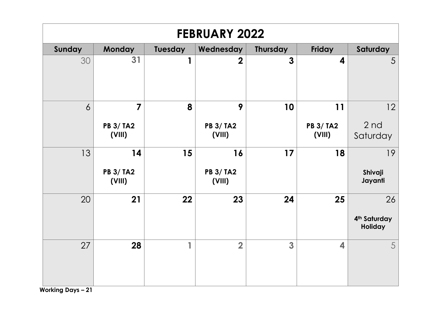| <b>FEBRUARY 2022</b> |                            |         |                            |                 |                            |                                     |  |
|----------------------|----------------------------|---------|----------------------------|-----------------|----------------------------|-------------------------------------|--|
| Sunday               | Monday                     | Tuesday | Wednesday                  | <b>Thursday</b> | Friday                     | Saturday                            |  |
| 30                   | 31                         | 1       | $\mathbf 2$                | 3               | 4                          | $\overline{5}$                      |  |
| $\overline{6}$       | 7                          | 8       | 9                          | 10              | 11                         | 12                                  |  |
|                      | <b>PB 3/ TA2</b><br>(VIII) |         | <b>PB 3/ TA2</b><br>(VIII) |                 | <b>PB 3/ TA2</b><br>(VIII) | 2 <sub>nd</sub><br>Saturday         |  |
| 13                   | 14                         | 15      | 16                         | 17              | 18                         | 19                                  |  |
|                      | <b>PB 3/ TA2</b><br>(VIII) |         | <b>PB 3/ TA2</b><br>(VIII) |                 |                            | Shivaji<br>Jayanti                  |  |
| 20                   | 21                         | 22      | 23                         | 24              | 25                         | 26                                  |  |
|                      |                            |         |                            |                 |                            | 4 <sup>th</sup> Saturday<br>Holiday |  |
| 27                   | 28                         | 1       | $\overline{2}$             | 3               | 4                          | $5\overline{)}$                     |  |